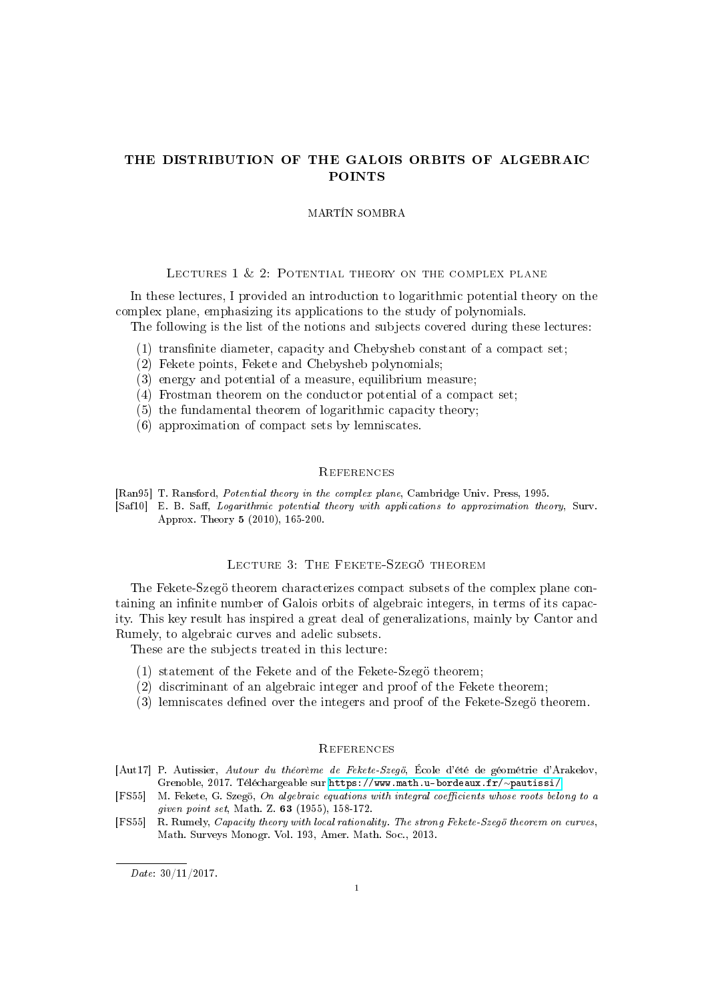# THE DISTRIBUTION OF THE GALOIS ORBITS OF ALGEBRAIC POINTS

#### MARTÍN SOMBRA

## LECTURES 1 & 2: POTENTIAL THEORY ON THE COMPLEX PLANE

In these lectures, I provided an introduction to logarithmic potential theory on the complex plane, emphasizing its applications to the study of polynomials.

The following is the list of the notions and subjects covered during these lectures:

- $(1)$  transfinite diameter, capacity and Chebysheb constant of a compact set;
- (2) Fekete points, Fekete and Chebysheb polynomials;
- (3) energy and potential of a measure, equilibrium measure;
- (4) Frostman theorem on the conductor potential of a compact set;
- (5) the fundamental theorem of logarithmic capacity theory;
- (6) approximation of compact sets by lemniscates.

### **REFERENCES**

[Ran95] T. Ransford, Potential theory in the complex plane, Cambridge Univ. Press, 1995.

[Saf10] E. B. Saff, Logarithmic potential theory with applications to approximation theory, Surv. Approx. Theory 5 (2010), 165-200.

# LECTURE 3: THE FEKETE-SZEGÖ THEOREM

The Fekete-Szegö theorem characterizes compact subsets of the complex plane containing an infinite number of Galois orbits of algebraic integers, in terms of its capacity. This key result has inspired a great deal of generalizations, mainly by Cantor and Rumely, to algebraic curves and adelic subsets.

These are the subjects treated in this lecture:

- (1) statement of the Fekete and of the Fekete-Szegö theorem;
- (2) discriminant of an algebraic integer and proof of the Fekete theorem;
- (3) lemniscates defined over the integers and proof of the Fekete-Szegö theorem.

## **REFERENCES**

- [Aut17] P. Autissier, Autour du théorème de Fekete-Szegö, École d'été de géométrie d'Arakelov, Grenoble, 2017. Téléchargeable sur [https://www.math.u-bordeaux.fr/](https://www.math.u-bordeaux.fr/~pautissi/)∼pautissi/.
- [FS55] M. Fekete, G. Szegö, On algebraic equations with integral coefficients whose roots belong to a given point set, Math. Z. 63 (1955), 158-172.
- [FS55] R. Rumely, *Capacity theory with local rationality. The strong Fekete-Szegö theorem on curves*, Math. Surveys Monogr. Vol. 193, Amer. Math. Soc., 2013.

Date: 30/11/2017.